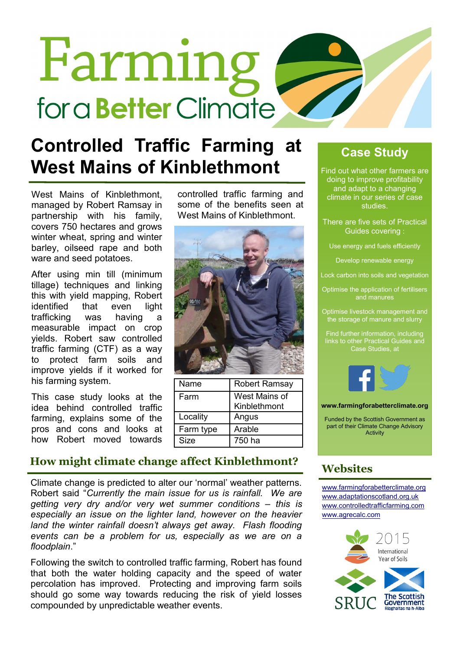# Farming for a **Better** Climate

### **Controlled Traffic Farming at West Mains of Kinblethmont**

West Mains of Kinblethmont, managed by Robert Ramsay in partnership with his family, covers 750 hectares and grows winter wheat, spring and winter barley, oilseed rape and both ware and seed potatoes.

After using min till (minimum tillage) techniques and linking this with yield mapping, Robert identified that even light trafficking was having a measurable impact on crop yields. Robert saw controlled traffic farming (CTF) as a way to protect farm soils and improve yields if it worked for his farming system.

This case study looks at the idea behind controlled traffic farming, explains some of the pros and cons and looks at how Robert moved towards

controlled traffic farming and some of the benefits seen at West Mains of Kinblethmont.



| Name      | <b>Robert Ramsay</b> |
|-----------|----------------------|
| Farm      | West Mains of        |
|           | Kinblethmont         |
| Locality  | Angus                |
| Farm type | Arable               |
| Size      | 750 ha               |

#### **How might climate change affect Kinblethmont?**

Climate change is predicted to alter our 'normal' weather patterns. Robert said "*Currently the main issue for us is rainfall. We are getting very dry and/or very wet summer conditions – this is especially an issue on the lighter land, however on the heavier*  land the winter rainfall doesn't always get away. Flash flooding *events can be a problem for us, especially as we are on a floodplain*."

Following the switch to controlled traffic farming, Robert has found that both the water holding capacity and the speed of water percolation has improved. Protecting and improving farm soils should go some way towards reducing the risk of yield losses compounded by unpredictable weather events.

#### **Case Study**

Find out what other farmers are doing to improve profitability and adapt to a changing climate in our series of case studies.

- There are five sets of Practical Guides covering :
	- Use energy and fuels efficiently

Develop renewable energy

- Lock carbon into soils and vegetation
- Optimise the application of fertilisers and manures
- Optimise livestock management and the storage of manure and slurry

Find further information, including links to other Practical Guides and Case Studies, at



**www.farmingforabetterclimate.org**

Funded by the Scottish Government as part of their Climate Change Advisory **Activity** 

#### **Websites**

[www.farmingforabetterclimate.org](http://www.farmingforabetterclimate.org) [www.adaptationscotland.org.uk](http://www.adaptationscotland.org.uk/1/1/0/Home.aspx) [www.controlledtrafficfarming.com](http://www.controlledtrafficfarming.com/Home/Default.aspx) [www.agrecalc.com](http://www.agrecalc.com)